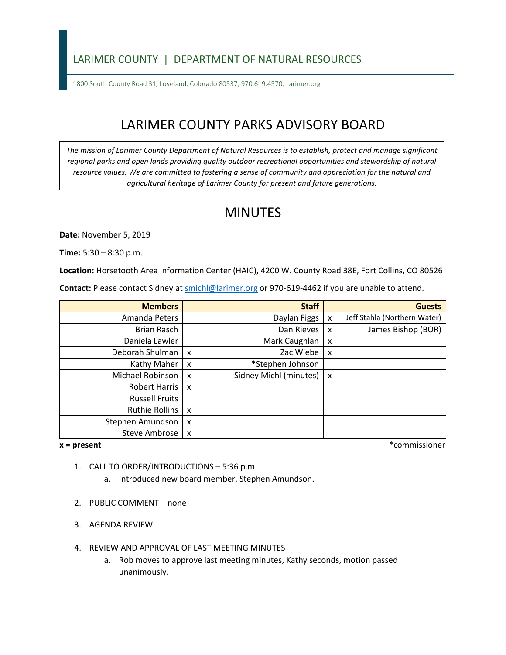### LARIMER COUNTY | DEPARTMENT OF NATURAL RESOURCES

1800 South County Road 31, Loveland, Colorado 80537, 970.619.4570, Larimer.org

# LARIMER COUNTY PARKS ADVISORY BOARD

*The mission of Larimer County Department of Natural Resources is to establish, protect and manage significant*  regional parks and open lands providing quality outdoor recreational opportunities and stewardship of natural *resource values. We are committed to fostering a sense of community and appreciation for the natural and agricultural heritage of Larimer County for present and future generations.* 

## MINUTES

**Date:** November 5, 2019

**Time:** 5:30 – 8:30 p.m.

**Location:** Horsetooth Area Information Center (HAIC), 4200 W. County Road 38E, Fort Collins, CO 80526

Contact: Please contact Sidney at **smichl@larimer.org** or 970-619-4462 if you are unable to attend.

| <b>Members</b>        |                           | <b>Staff</b>           |   | <b>Guests</b>                |
|-----------------------|---------------------------|------------------------|---|------------------------------|
| Amanda Peters         |                           | Daylan Figgs           | x | Jeff Stahla (Northern Water) |
| Brian Rasch           |                           | Dan Rieves             | x | James Bishop (BOR)           |
| Daniela Lawler        |                           | Mark Caughlan          | X |                              |
| Deborah Shulman       | $\boldsymbol{\mathsf{x}}$ | Zac Wiebe              | X |                              |
| Kathy Maher           | X                         | *Stephen Johnson       |   |                              |
| Michael Robinson      | X                         | Sidney Michl (minutes) | X |                              |
| Robert Harris         | X                         |                        |   |                              |
| <b>Russell Fruits</b> |                           |                        |   |                              |
| <b>Ruthie Rollins</b> | $\boldsymbol{\mathsf{x}}$ |                        |   |                              |
| Stephen Amundson      | X                         |                        |   |                              |
| Steve Ambrose         | X                         |                        |   |                              |

 $x = present$ 

**x = present** \*commissioner

- 1. CALL TO ORDER/INTRODUCTIONS 5:36 p.m.
	- a. Introduced new board member, Stephen Amundson.
- 2. PUBLIC COMMENT none
- 3. AGENDA REVIEW
- 4. REVIEW AND APPROVAL OF LAST MEETING MINUTES
	- a. Rob moves to approve last meeting minutes, Kathy seconds, motion passed unanimously.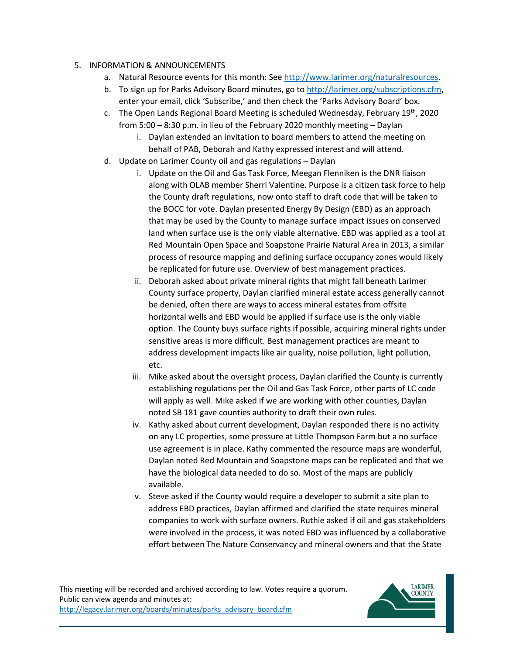#### 5. INFORMATION & ANNOUNCEMENTS

- a. Natural Resource events for this month: See [http://www.larimer.org/naturalresources.](http://www.larimer.org/naturalresources)
- b. To sign up for Parks Advisory Board minutes, go to [http://larimer.org/subscriptions.cfm,](http://larimer.org/subscriptions.cfm) enter your email, click 'Subscribe,' and then check the 'Parks Advisory Board' box.
- c. The Open Lands Regional Board Meeting is scheduled Wednesday, February  $19^{th}$ , 2020 from 5:00 – 8:30 p.m. in lieu of the February 2020 monthly meeting – Daylan
	- behalf of PAB, Deborah and Kathy expressed interest and will attend. i. Daylan extended an invitation to board members to attend the meeting on
- d. Update on Larimer County oil and gas regulations Daylan
	- i. Update on the Oil and Gas Task Force, Meegan Flenniken is the DNR liaison the County draft regulations, now onto staff to draft code that will be taken to the BOCC for vote. Daylan presented Energy By Design (EBD) as an approach that may be used by the County to manage surface impact issues on conserved be replicated for future use. Overview of best management practices. along with OLAB member Sherri Valentine. Purpose is a citizen task force to help land when surface use is the only viable alternative. EBD was applied as a tool at Red Mountain Open Space and Soapstone Prairie Natural Area in 2013, a similar process of resource mapping and defining surface occupancy zones would likely
	- be denied, often there are ways to access mineral estates from offsite horizontal wells and EBD would be applied if surface use is the only viable option. The County buys surface rights if possible, acquiring mineral rights under sensitive areas is more difficult. Best management practices are meant to ii. Deborah asked about private mineral rights that might fall beneath Larimer County surface property, Daylan clarified mineral estate access generally cannot address development impacts like air quality, noise pollution, light pollution, etc.
	- will apply as well. Mike asked if we are working with other counties, Daylan iii. Mike asked about the oversight process, Daylan clarified the County is currently establishing regulations per the Oil and Gas Task Force, other parts of LC code noted SB 181 gave counties authority to draft their own rules.
	- use agreement is in place. Kathy commented the resource maps are wonderful, Daylan noted Red Mountain and Soapstone maps can be replicated and that we iv. Kathy asked about current development, Daylan responded there is no activity on any LC properties, some pressure at Little Thompson Farm but a no surface have the biological data needed to do so. Most of the maps are publicly available.
	- were involved in the process, it was noted EBD was influenced by a collaborative effort between The Nature Conservancy and mineral owners and that the State v. Steve asked if the County would require a developer to submit a site plan to address EBD practices, Daylan affirmed and clarified the state requires mineral companies to work with surface owners. Ruthie asked if oil and gas stakeholders

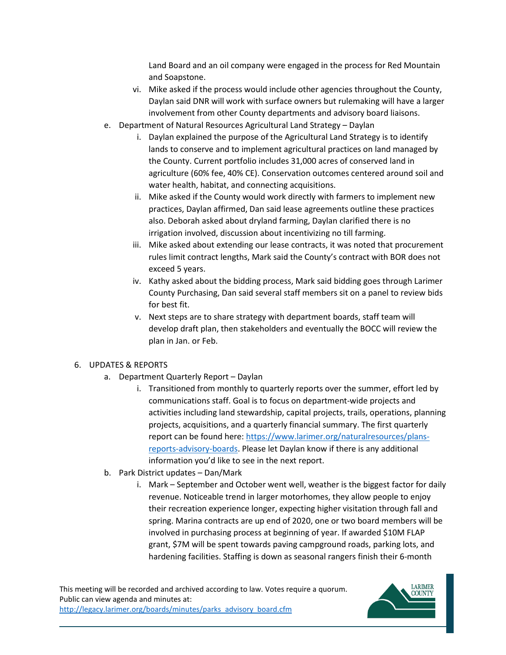Land Board and an oil company were engaged in the process for Red Mountain and Soapstone.

- vi. Mike asked if the process would include other agencies throughout the County, Daylan said DNR will work with surface owners but rulemaking will have a larger involvement from other County departments and advisory board liaisons.
- e. Department of Natural Resources Agricultural Land Strategy Daylan
	- lands to conserve and to implement agricultural practices on land managed by the County. Current portfolio includes 31,000 acres of conserved land in agriculture (60% fee, 40% CE). Conservation outcomes centered around soil and i. Daylan explained the purpose of the Agricultural Land Strategy is to identify water health, habitat, and connecting acquisitions.
	- ii. Mike asked if the County would work directly with farmers to implement new practices, Daylan affirmed, Dan said lease agreements outline these practices also. Deborah asked about dryland farming, Daylan clarified there is no irrigation involved, discussion about incentivizing no till farming.
	- exceed 5 years. iii. Mike asked about extending our lease contracts, it was noted that procurement rules limit contract lengths, Mark said the County's contract with BOR does not
	- exceed 5 years.<br>iv. Kathy asked about the bidding process, Mark said bidding goes through Larimer County Purchasing, Dan said several staff members sit on a panel to review bids for best fit.
	- v. Next steps are to share strategy with department boards, staff team will develop draft plan, then stakeholders and eventually the BOCC will review the plan in Jan. or Feb.

#### 6. UPDATES & REPORTS

- a. Department Quarterly Report Daylan
	- i. Transitioned from monthly to quarterly reports over the summer, effort led by activities including land stewardship, capital projects, trails, operations, planning communications staff. Goal is to focus on department-wide projects and projects, acquisitions, and a quarterly financial summary. The first quarterly report can be found here: [https://www.larimer.org/naturalresources/plans](https://www.larimer.org/naturalresources/plans-reports-advisory-boards)[reports-advisory-boards.](https://www.larimer.org/naturalresources/plans-reports-advisory-boards) Please let Daylan know if there is any additional information you'd like to see in the next report.
- b. Park District updates Dan/Mark
	- spring. Marina contracts are up end of 2020, one or two board members will be involved in purchasing process at beginning of year. If awarded \$10M FLAP i. Mark – September and October went well, weather is the biggest factor for daily revenue. Noticeable trend in larger motorhomes, they allow people to enjoy their recreation experience longer, expecting higher visitation through fall and grant, \$7M will be spent towards paving campground roads, parking lots, and hardening facilities. Staffing is down as seasonal rangers finish their 6-month

This meeting will be recorded and archived according to law. Votes require a quorum. Public can view agenda and minutes at: http://legacy.larimer.org/boards/minutes/parks\_advisory\_board.cfm

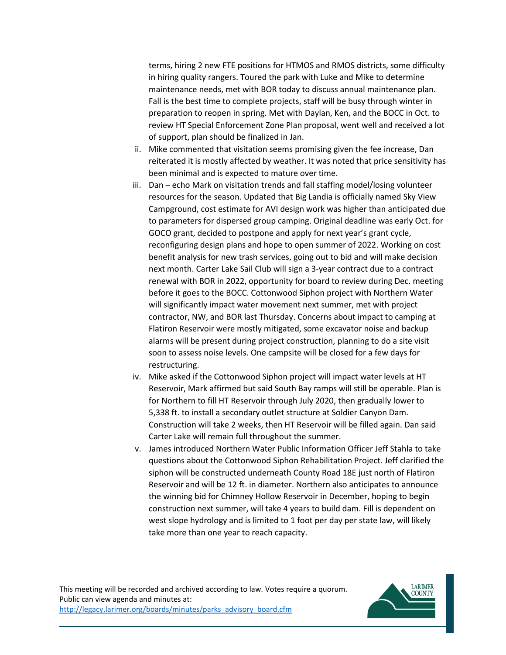Fall is the best time to complete projects, staff will be busy through winter in preparation to reopen in spring. Met with Daylan, Ken, and the BOCC in Oct. to review HT Special Enforcement Zone Plan proposal, went well and received a lot terms, hiring 2 new FTE positions for HTMOS and RMOS districts, some difficulty in hiring quality rangers. Toured the park with Luke and Mike to determine maintenance needs, met with BOR today to discuss annual maintenance plan. of support, plan should be finalized in Jan.

- ii. Mike commented that visitation seems promising given the fee increase, Dan reiterated it is mostly affected by weather. It was noted that price sensitivity has been minimal and is expected to mature over time.
- iii. Dan echo Mark on visitation trends and fall staffing model/losing volunteer resources for the season. Updated that Big Landia is officially named Sky View Campground, cost estimate for AVI design work was higher than anticipated due GOCO grant, decided to postpone and apply for next year's grant cycle, reconfiguring design plans and hope to open summer of 2022. Working on cost renewal with BOR in 2022, opportunity for board to review during Dec. meeting will significantly impact water movement next summer, met with project Flatiron Reservoir were mostly mitigated, some excavator noise and backup to parameters for dispersed group camping. Original deadline was early Oct. for benefit analysis for new trash services, going out to bid and will make decision next month. Carter Lake Sail Club will sign a 3-year contract due to a contract before it goes to the BOCC. Cottonwood Siphon project with Northern Water contractor, NW, and BOR last Thursday. Concerns about impact to camping at alarms will be present during project construction, planning to do a site visit soon to assess noise levels. One campsite will be closed for a few days for restructuring.
- Reservoir, Mark affirmed but said South Bay ramps will still be operable. Plan is Construction will take 2 weeks, then HT Reservoir will be filled again. Dan said iv. Mike asked if the Cottonwood Siphon project will impact water levels at HT for Northern to fill HT Reservoir through July 2020, then gradually lower to 5,338 ft. to install a secondary outlet structure at Soldier Canyon Dam. Carter Lake will remain full throughout the summer.
- v. James introduced Northern Water Public Information Officer Jeff Stahla to take questions about the Cottonwood Siphon Rehabilitation Project. Jeff clarified the Reservoir and will be 12 ft. in diameter. Northern also anticipates to announce the winning bid for Chimney Hollow Reservoir in December, hoping to begin construction next summer, will take 4 years to build dam. Fill is dependent on take more than one year to reach capacity. siphon will be constructed underneath County Road 18E just north of Flatiron west slope hydrology and is limited to 1 foot per day per state law, will likely

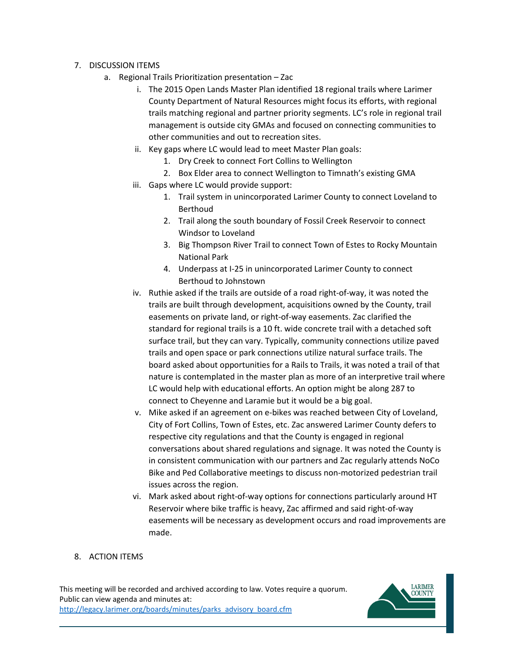- 7. DISCUSSION ITEMS
	- a. Regional Trails Prioritization presentation Zac
		- i. The 2015 Open Lands Master Plan identified 18 regional trails where Larimer County Department of Natural Resources might focus its efforts, with regional management is outside city GMAs and focused on connecting communities to trails matching regional and partner priority segments. LC's role in regional trail other communities and out to recreation sites.
		- ii. Key gaps where LC would lead to meet Master Plan goals:
			- 1. Dry Creek to connect Fort Collins to Wellington
			- 2. Box Elder area to connect Wellington to Timnath's existing GMA
		- iii. Gaps where LC would provide support:
			- 1. Trail system in unincorporated Larimer County to connect Loveland to Berthoud
			- 2. Trail along the south boundary of Fossil Creek Reservoir to connect Windsor to Loveland
			- 3. Big Thompson River Trail to connect Town of Estes to Rocky Mountain National Park
			- 4. Underpass at I-25 in unincorporated Larimer County to connect Berthoud to Johnstown
		- trails are built through development, acquisitions owned by the County, trail easements on private land, or right-of-way easements. Zac clarified the nature is contemplated in the master plan as more of an interpretive trail where LC would help with educational efforts. An option might be along 287 to iv. Ruthie asked if the trails are outside of a road right-of-way, it was noted the standard for regional trails is a 10 ft. wide concrete trail with a detached soft surface trail, but they can vary. Typically, community connections utilize paved trails and open space or park connections utilize natural surface trails. The board asked about opportunities for a Rails to Trails, it was noted a trail of that connect to Cheyenne and Laramie but it would be a big goal.
		- v. Mike asked if an agreement on e-bikes was reached between City of Loveland, City of Fort Collins, Town of Estes, etc. Zac answered Larimer County defers to respective city regulations and that the County is engaged in regional conversations about shared regulations and signage. It was noted the County is in consistent communication with our partners and Zac regularly attends NoCo Bike and Ped Collaborative meetings to discuss non-motorized pedestrian trail issues across the region.
		- vi. Mark asked about right-of-way options for connections particularly around HT Reservoir where bike traffic is heavy, Zac affirmed and said right-of-way easements will be necessary as development occurs and road improvements are made.

### 8. ACTION ITEMS

This meeting will be recorded and archived according to law. Votes require a quorum. Public can view agenda and minutes at: http://legacy.larimer.org/boards/minutes/parks\_advisory\_board.cfm